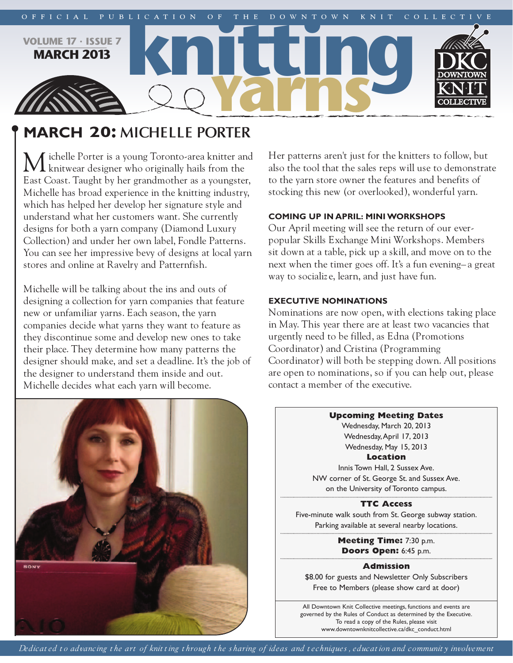

# **mArch 20: MICHELLE PORTER**

ichelle Porter is a young Toronto-area knitter and **L** knitwear designer who originally hails from the East Coast. Taught by her grandmother as a youngster, Michelle has broad experience in the knitting industry, which has helped her develop her signature style and understand what her customers want. She currently designs for both a yarn company (Diamond Luxury Collection) and under her own label, Fondle Patterns. You can see her impressive bevy of designs at local yarn stores and online at Ravelry and Patternfish.

Michelle will be talking about the ins and outs of designing a collection for yarn companies that feature new or unfamiliar yarns. Each season, the yarn companies decide what yarns they want to feature as they discontinue some and develop new ones to take their place. They determine how many patterns the designer should make, and set a deadline. It's the job of the designer to understand them inside and out. Michelle decides what each yarn will become.

**BONY** 

Her patterns aren't just for the knitters to follow, but also the tool that the sales reps will use to demonstrate to the yarn store owner the features and benefits of stocking this new (or overlooked), wonderful yarn.

### **coming up in April: miniworkshops**

Our April meeting will see the return of our everpopular Skills Exchange Mini Workshops. Members sit down at a table, pick up a skill, and move on to the next when the timer goes off. It's a fun evening– a great way to socializ e, learn, and just have fun.

### **executive nominAtions**

Nominations are now open, with elections taking place in May. This year there are at least two vacancies that urgently need to be filled, as Edna (Promotions Coordinator) and Cristina (Programming Coordinator) will both be stepping down. All positions are open to nominations, so if you can help out, please contact a member of the executive.



**Upcoming Meeting Dates** Wednesday, March 20, 2013 Wednesday,April 17, 2013 Wednesday, May 15, 2013 **Location** Innis Town Hall, 2 Sussex Ave. NW corner of St. George St. and Sussex Ave.

on the University of Toronto campus.

**TTC Access** Five-minute walk south from St. George subway station. Parking available at several nearby locations.

> **Meeting Time:** 7:30 p.m. **Doors Open:** 6:45 p.m.

> > **Admission**

\$8.00 for guests and Newsletter Only Subscribers Free to Members (please show card at door)

All Downtown Knit Collective meetings, functions and events are governed by the Rules of Conduct as determined by the Executive. To read a copy of the Rules, please visit www.downtownknitcollective.ca/dkc\_conduct.html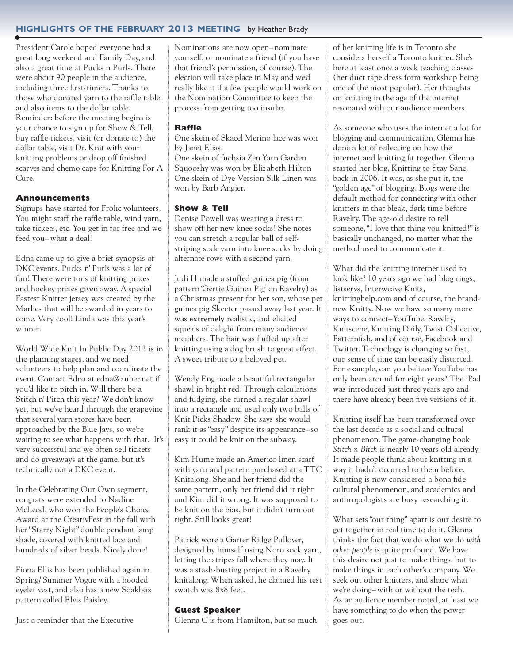### **highlights of the februAry 2013 meeting** by Heather Brady

President Carole hoped everyone had a great long weekend and Family Day, and also a great time at Pucks n Purls. There were about 90 people in the audience, including three first-timers. Thanks to those who donated yarn to the raffle table, and also items to the dollar table. Reminder: before the meeting begins is your chance to sign up for Show & Tell, buy raffle tickets, visit (or donate to) the dollar table, visit Dr. Knit with your knitting problems or drop off finished scarves and chemo caps for Knitting For A Cure.

### **Announcements**

Signups have started for Frolic volunteers. You might staff the raffle table, wind yarn, take tickets, etc. You get in for free and we feed you–what a deal!

Edna came up to give a brief synopsis of DKC events. Pucks n' Purls was a lot of fun! There were tons of knitting priz es and hockey priz es given away. A special Fastest Knitter jersey was created by the Marlies that will be awarded in years to come. Very cool! Linda was this year's winner.

World Wide Knit In Public Day 2013 is in the planning stages, and we need volunteers to help plan and coordinate the event. Contact Edna at edna@z uber.net if you'd like to pitch in. Will there be a Stitch n' Pitch this year? We don't know yet, but we've heard through the grapevine that several yarn stores have been approached by the Blue Jays, so we're waiting to see what happens with that. It's very successful and we often sell tickets and do giveaways at the game, but it's technically not a DKC event.

In the Celebrating Our Own segment, congrats were extended to Nadine McLeod, who won the People's Choice Award at the CreativFest in the fall with her "Starry Night" double pendant lamp shade, covered with knitted lace and hundreds of silver beads. Nicely done!

Fiona Ellis has been published again in Spring/ Summer Vogue with a hooded eyelet vest, and also has a new Soakbox pattern called Elvis Paisley.

Just a reminder that the Executive

Nominations are now open– nominate yourself, or nominate a friend (if you have that friend's permission, of course). The election will take place in May and we'd really like it if a few people would work on the Nomination Committee to keep the process from getting too insular.

### **Raffle**

One skein of Skacel Merino lace was won by Janet Elias.

One skein of fuchsia Zen Yarn Garden Squooshy was won by Eliz abeth Hilton One skein of Dye-Version Silk Linen was won by Barb Angier.

### **Show & Tell**

Denise Powell was wearing a dress to show off her new knee socks! She notes you can stretch a regular ball of selfstriping sock yarn into knee socks by doing alternate rows with a second yarn.

Judi H made a stuffed guinea pig (from pattern 'Gertie Guinea Pig' on Ravelry) as a Christmas present for her son, whose pet guinea pig Skeeter passed away last year. It was **extremely** realistic, and elicited squeals of delight from many audience members. The hair was fluffed up after knitting using a dog brush to great effect. A sweet tribute to a beloved pet.

Wendy Eng made a beautiful rectangular shawl in bright red. Through calculations and fudging, she turned a regular shawl into a rectangle and used only two balls of Knit Picks Shadow. She says she would rank it as "easy" despite its appearance– so easy it could be knit on the subway.

Kim Hume made an Americo linen scarf with yarn and pattern purchased at a TTC Knitalong. She and her friend did the same pattern, only her friend did it right and Kim did it wrong. It was supposed to be knit on the bias, but it didn't turn out right. Still looks great!

Patrick wore a Garter Ridge Pullover, designed by himself using Noro sock yarn, letting the stripes fall where they may. It was a stash-busting project in a Ravelry knitalong. When asked, he claimed his test swatch was 8x8 feet.

#### **Guest Speaker**

Glenna C is from Hamilton, but so much

of her knitting life is in Toronto she considers herself a Toronto knitter. She's here at least once a week teaching classes (her duct tape dress form workshop being one of the most popular). Her thoughts on knitting in the age of the internet resonated with our audience members.

As someone who uses the internet a lot for blogging and communication, Glenna has done a lot of reflecting on how the internet and knitting fit together. Glenna started her blog, Knitting to Stay Sane, back in 2006. It was, as she put it, the "golden age" of blogging. Blogs were the default method for connecting with other knitters in that bleak, dark time before Ravelry. The age-old desire to tell someone,"I love that thing you knitted!" is basically unchanged, no matter what the method used to communicate it.

What did the knitting internet used to look like? 10 years ago we had blog rings, listservs, Interweave Knits, knittinghelp.com and of course, the brandnew Knitty. Now we have so many more ways to connect–YouTube, Ravelry, Knitscene, Knitting Daily, Twist Collective, Patternfish, and of course, Facebook and Twitter. Technology is changing so fast, our sense of time can be easily distorted. For example, can you believe YouTube has only been around for eight years? The iPad was introduced just three years ago and there have already been five versions of it.

Knitting itself has been transformed over the last decade as a social and cultural phenomenon. The game-changing book *Stitch n Bitch* is nearly 10 years old already. It made people think about knitting in a way it hadn't occurred to them before. Knitting is now considered a bona fide cultural phenomenon, and academics and anthropologists are busy researching it.

What sets "our thing" apart is our desire to get together in real time to do it. Glenna thinks the fact that we do what we do *with other people* is quite profound. We have this desire not just to make things, but to make things in each other's company. We seek out other knitters, and share what we're doing–with or without the tech. As an audience member noted, at least we have something to do when the power goes out.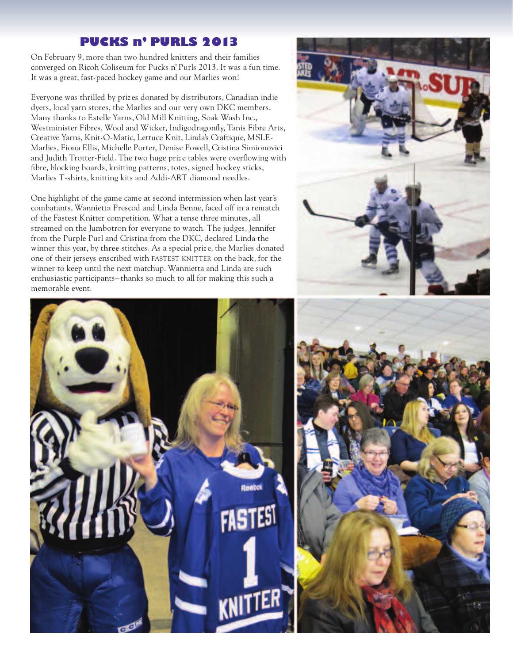# **PUCKS n' PURLS 2013**

On February 9, more than two hundred knitters and their families converged on Ricoh Coliseum for Pucks n' Purls 2013. It was a fun time. It was a great, fast-paced hockey game and our Marlies won!

Everyone was thrilled by priz es donated by distributors, Canadian indie dyers, local yarn stores, the Marlies and our very own DKC members. Many thanks to Estelle Yarns, Old Mill Knitting, Soak Wash Inc., Westminister Fibres, Wool and Wicker, Indigodragonfly, Tanis Fibre Arts, Creative Yarns, Knit-O-Matic, Lettuce Knit, Linda's Craftique, MSLE-Marlies, Fiona Ellis, Michelle Porter, Denise Powell, Cristina Simionovici and Judith Trotter-Field. The two huge priz e tables were overflowing with fibre, blocking boards, knitting patterns, totes, signed hockey sticks, Marlies T-shirts, knitting kits and Addi-ART diamond needles.

One highlight of the game came at second intermission when last year's combatants, Wannietta Prescod and Linda Benne, faced off in a rematch of the Fastest Knitter competition. What a tense three minutes, all streamed on the Jumbotron for everyone to watch. The judges, Jennifer from the Purple Purl and Cristina from the DKC, declared Linda the winner this year, by **three** stitches. As a special priz e, the Marlies donated one of their jerseys enscribed with FASTEST KNITTER on the back, for the winner to keep until the next matchup. Wannietta and Linda are such enthusiastic participants– thanks so much to all for making this such a memorable event.